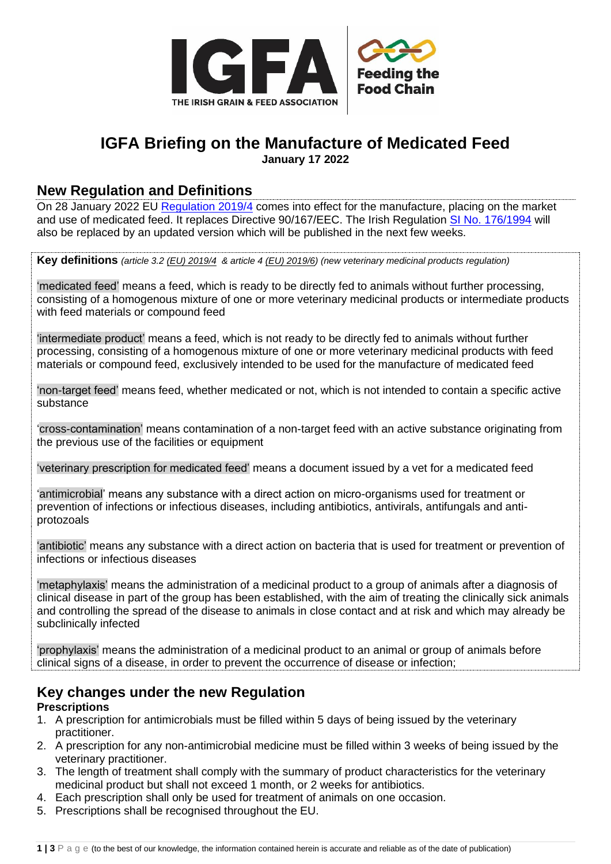

## **IGFA Briefing on the Manufacture of Medicated Feed January 17 2022**

### **New Regulation and Definitions**

On 28 January 2022 EU [Regulation 2019/4](https://eur-lex.europa.eu/legal-content/EN/TXT/?uri=uriserv:OJ.L_.2019.004.01.0001.01.ENG&toc=OJ:L:2019:004:FULL) comes into effect for the manufacture, placing on the market and use of medicated feed. It replaces Directive 90/167/EEC. The Irish Regulation [SI No. 176/1994](https://www.irishstatutebook.ie/eli/1994/si/176/made/en/print) will also be replaced by an updated version which will be published in the next few weeks.

**Key definitions** *(article 3.2 [\(EU\) 2019/4](https://eur-lex.europa.eu/legal-content/EN/TXT/?uri=CELEX%3A32019R0004) & article [4 \(EU\) 2019/6\)](https://eur-lex.europa.eu/eli/reg/2019/6/oj) (new veterinary medicinal products regulation)*

'medicated feed' means a feed, which is ready to be directly fed to animals without further processing, consisting of a homogenous mixture of one or more veterinary medicinal products or intermediate products with feed materials or compound feed

'intermediate product' means a feed, which is not ready to be directly fed to animals without further processing, consisting of a homogenous mixture of one or more veterinary medicinal products with feed materials or compound feed, exclusively intended to be used for the manufacture of medicated feed

'non-target feed' means feed, whether medicated or not, which is not intended to contain a specific active substance

'cross-contamination' means contamination of a non-target feed with an active substance originating from the previous use of the facilities or equipment

'veterinary prescription for medicated feed' means a document issued by a vet for a medicated feed

'antimicrobial' means any substance with a direct action on micro-organisms used for treatment or prevention of infections or infectious diseases, including antibiotics, antivirals, antifungals and antiprotozoals

'antibiotic' means any substance with a direct action on bacteria that is used for treatment or prevention of infections or infectious diseases

'metaphylaxis' means the administration of a medicinal product to a group of animals after a diagnosis of clinical disease in part of the group has been established, with the aim of treating the clinically sick animals and controlling the spread of the disease to animals in close contact and at risk and which may already be subclinically infected

'prophylaxis' means the administration of a medicinal product to an animal or group of animals before clinical signs of a disease, in order to prevent the occurrence of disease or infection;

# **Key changes under the new Regulation**

### **Prescriptions**

- 1. A prescription for antimicrobials must be filled within 5 days of being issued by the veterinary practitioner.
- 2. A prescription for any non-antimicrobial medicine must be filled within 3 weeks of being issued by the veterinary practitioner.
- 3. The length of treatment shall comply with the summary of product characteristics for the veterinary medicinal product but shall not exceed 1 month, or 2 weeks for antibiotics.
- 4. Each prescription shall only be used for treatment of animals on one occasion.
- 5. Prescriptions shall be recognised throughout the EU.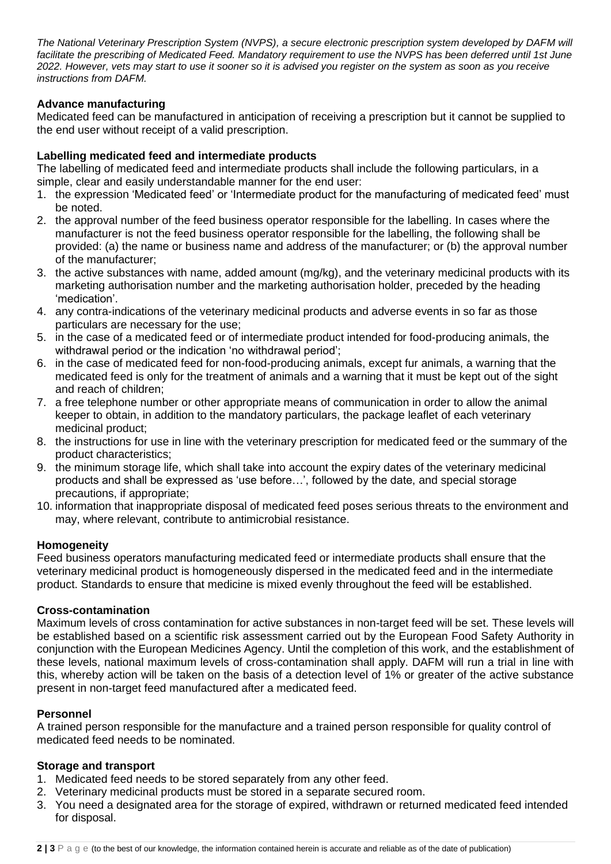*The National Veterinary Prescription System (NVPS), a secure electronic prescription system developed by DAFM will*  facilitate the prescribing of Medicated Feed. Mandatory requirement to use the NVPS has been deferred until 1st June *2022. However, vets may start to use it sooner so it is advised you register on the system as soon as you receive instructions from DAFM.* 

### **Advance manufacturing**

Medicated feed can be manufactured in anticipation of receiving a prescription but it cannot be supplied to the end user without receipt of a valid prescription.

### **Labelling medicated feed and intermediate products**

The labelling of medicated feed and intermediate products shall include the following particulars, in a simple, clear and easily understandable manner for the end user:

- 1. the expression 'Medicated feed' or 'Intermediate product for the manufacturing of medicated feed' must be noted.
- 2. the approval number of the feed business operator responsible for the labelling. In cases where the manufacturer is not the feed business operator responsible for the labelling, the following shall be provided: (a) the name or business name and address of the manufacturer; or (b) the approval number of the manufacturer;
- 3. the active substances with name, added amount (mg/kg), and the veterinary medicinal products with its marketing authorisation number and the marketing authorisation holder, preceded by the heading 'medication'.
- 4. any contra-indications of the veterinary medicinal products and adverse events in so far as those particulars are necessary for the use;
- 5. in the case of a medicated feed or of intermediate product intended for food-producing animals, the withdrawal period or the indication 'no withdrawal period';
- 6. in the case of medicated feed for non-food-producing animals, except fur animals, a warning that the medicated feed is only for the treatment of animals and a warning that it must be kept out of the sight and reach of children;
- 7. a free telephone number or other appropriate means of communication in order to allow the animal keeper to obtain, in addition to the mandatory particulars, the package leaflet of each veterinary medicinal product;
- 8. the instructions for use in line with the veterinary prescription for medicated feed or the summary of the product characteristics;
- 9. the minimum storage life, which shall take into account the expiry dates of the veterinary medicinal products and shall be expressed as 'use before…', followed by the date, and special storage precautions, if appropriate;
- 10. information that inappropriate disposal of medicated feed poses serious threats to the environment and may, where relevant, contribute to antimicrobial resistance.

#### **Homogeneity**

Feed business operators manufacturing medicated feed or intermediate products shall ensure that the veterinary medicinal product is homogeneously dispersed in the medicated feed and in the intermediate product. Standards to ensure that medicine is mixed evenly throughout the feed will be established.

#### **Cross-contamination**

Maximum levels of cross contamination for active substances in non-target feed will be set. These levels will be established based on a scientific risk assessment carried out by the European Food Safety Authority in conjunction with the European Medicines Agency. Until the completion of this work, and the establishment of these levels, national maximum levels of cross-contamination shall apply. DAFM will run a trial in line with this, whereby action will be taken on the basis of a detection level of 1% or greater of the active substance present in non-target feed manufactured after a medicated feed.

#### **Personnel**

A trained person responsible for the manufacture and a trained person responsible for quality control of medicated feed needs to be nominated.

#### **Storage and transport**

- 1. Medicated feed needs to be stored separately from any other feed.
- 2. Veterinary medicinal products must be stored in a separate secured room.
- 3. You need a designated area for the storage of expired, withdrawn or returned medicated feed intended for disposal.